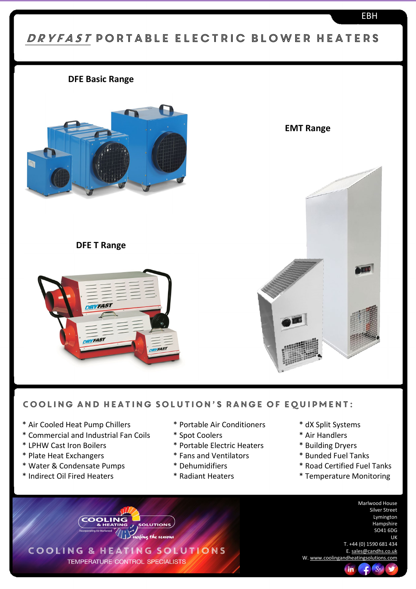# DRYFAST PORTABLE ELECTRIC BLOWER HEATERS

### **DFE Basic Range**



**DFE T Range**

**ORVFAST** 

**TYFAS1** 

**EMT Range**



#### Cooling and Heating Solution's range of equipment:

**FAST** 

**OLUTIONS** surfing the seasons

COOLING & HEATING SOLUTIONS TEMPERATURE CONTROL SPECIALISTS

- \* Air Cooled Heat Pump Chillers \* \* Portable Air Conditioners \* \* dX Split Systems
- \* Commercial and Industrial Fan Coils \* Spot Coolers \* Air Handlers
- 
- 
- \* Water & Condensate Pumps \* Dehumidifiers \* Road Certified Fuel Tanks
- \* Indirect Oil Fired Heaters \* \* Radiant Heaters \* \* Temperature Monitoring
- 
- 
- \* LPHW Cast Iron Boilers \* Portable Electric Heaters \* Building Dryers
- \* Plate Heat Exchangers \* \* Fans and Ventilators \* \* Bunded Fuel Tanks
	-
	-
- 
- 
- 
- 
- 
- 
- 

Marlwood House Silver Street Lymington **Hampshire** SO41 6DG UK

T. +44 (0) 1590 681 434 E[. sales@candhs.co.uk](mailto:sales@candhs.co.uk) W[. www.coolingandheatingsolutions.com](http://www.coolingandheatingsolutions.com/)

## en de la componentación de la componentación de la componentación de la componentación de la componentación de